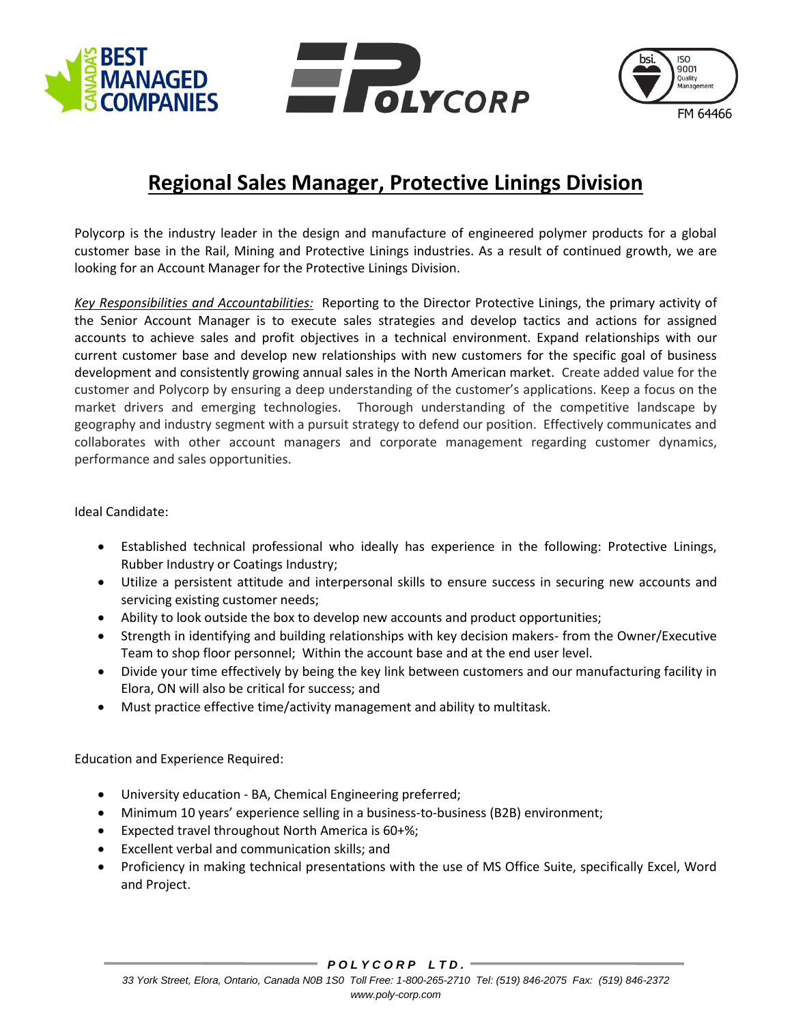





## **Regional Sales Manager, Protective Linings Division**

Polycorp is the industry leader in the design and manufacture of engineered polymer products for a global customer base in the Rail, Mining and Protective Linings industries. As a result of continued growth, we are looking for an Account Manager for the Protective Linings Division.

*Key Responsibilities and Accountabilities:* Reporting to the Director Protective Linings, the primary activity of the Senior Account Manager is to execute sales strategies and develop tactics and actions for assigned accounts to achieve sales and profit objectives in a technical environment. Expand relationships with our current customer base and develop new relationships with new customers for the specific goal of business development and consistently growing annual sales in the North American market. Create added value for the customer and Polycorp by ensuring a deep understanding of the customer's applications. Keep a focus on the market drivers and emerging technologies. Thorough understanding of the competitive landscape by geography and industry segment with a pursuit strategy to defend our position. Effectively communicates and collaborates with other account managers and corporate management regarding customer dynamics, performance and sales opportunities.

Ideal Candidate:

- Established technical professional who ideally has experience in the following: Protective Linings, Rubber Industry or Coatings Industry;
- Utilize a persistent attitude and interpersonal skills to ensure success in securing new accounts and servicing existing customer needs;
- Ability to look outside the box to develop new accounts and product opportunities;
- Strength in identifying and building relationships with key decision makers- from the Owner/Executive Team to shop floor personnel; Within the account base and at the end user level.
- Divide your time effectively by being the key link between customers and our manufacturing facility in Elora, ON will also be critical for success; and
- Must practice effective time/activity management and ability to multitask.

Education and Experience Required:

- University education BA, Chemical Engineering preferred;
- Minimum 10 years' experience selling in a business-to-business (B2B) environment;
- Expected travel throughout North America is 60+%;
- Excellent verbal and communication skills; and
- Proficiency in making technical presentations with the use of MS Office Suite, specifically Excel, Word and Project.

*P O L Y C O R P L T D .*